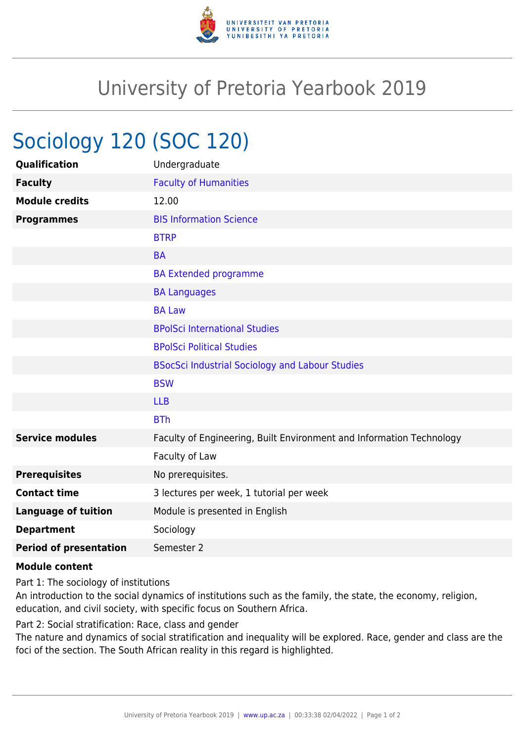

## University of Pretoria Yearbook 2019

## Sociology 120 (SOC 120)

| Undergraduate                                                        |
|----------------------------------------------------------------------|
| <b>Faculty of Humanities</b>                                         |
| 12.00                                                                |
| <b>BIS Information Science</b>                                       |
| <b>BTRP</b>                                                          |
| <b>BA</b>                                                            |
| <b>BA Extended programme</b>                                         |
| <b>BA Languages</b>                                                  |
| <b>BA Law</b>                                                        |
| <b>BPolSci International Studies</b>                                 |
| <b>BPolSci Political Studies</b>                                     |
| <b>BSocSci Industrial Sociology and Labour Studies</b>               |
| <b>BSW</b>                                                           |
| <b>LLB</b>                                                           |
| <b>BTh</b>                                                           |
| Faculty of Engineering, Built Environment and Information Technology |
| Faculty of Law                                                       |
| No prerequisites.                                                    |
| 3 lectures per week, 1 tutorial per week                             |
| Module is presented in English                                       |
| Sociology                                                            |
| Semester 2                                                           |
|                                                                      |

## **Module content**

Part 1: The sociology of institutions

An introduction to the social dynamics of institutions such as the family, the state, the economy, religion, education, and civil society, with specific focus on Southern Africa.

Part 2: Social stratification: Race, class and gender

The nature and dynamics of social stratification and inequality will be explored. Race, gender and class are the foci of the section. The South African reality in this regard is highlighted.